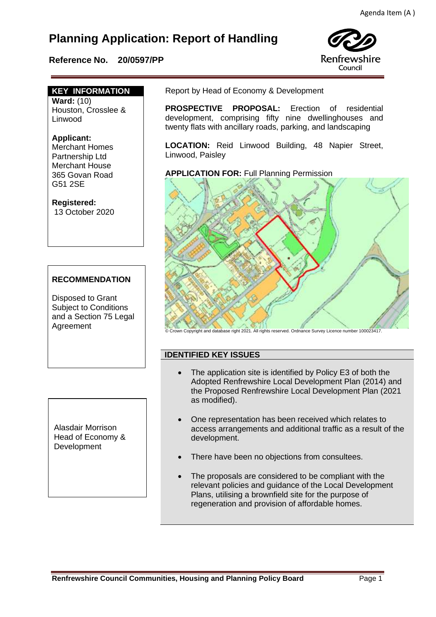# **Planning Application: Report of Handling**

## **Reference No. 20/0597/PP**



## **KEY INFORMATION**

**Ward:** (10) Houston, Crosslee & Linwood

## **Applicant:**

Merchant Homes Partnership Ltd Merchant House 365 Govan Road G51 2SE

#### **Registered:**  13 October 2020

## **RECOMMENDATION**

Disposed to Grant Subject to Conditions and a Section 75 Legal Agreement

Report by Head of Economy & Development

 **PROSPECTIVE PROPOSAL:** Erection of residential development, comprising fifty nine dwellinghouses and twenty flats with ancillary roads, parking, and landscaping

**LOCATION:** Reid Linwood Building, 48 Napier Street, Linwood, Paisley

**APPLICATION FOR:** Full Planning Permission



© Crown Copyright and database right 2021. All rights reserved. Ordnance Survey Licence number 100023417.

## **IDENTIFIED KEY ISSUES**

- The application site is identified by Policy E3 of both the Adopted Renfrewshire Local Development Plan (2014) and the Proposed Renfrewshire Local Development Plan (2021 as modified).
- One representation has been received which relates to access arrangements and additional traffic as a result of the development.
- There have been no objections from consultees.
- The proposals are considered to be compliant with the relevant policies and guidance of the Local Development Plans, utilising a brownfield site for the purpose of regeneration and provision of affordable homes.

Alasdair Morrison Head of Economy & Development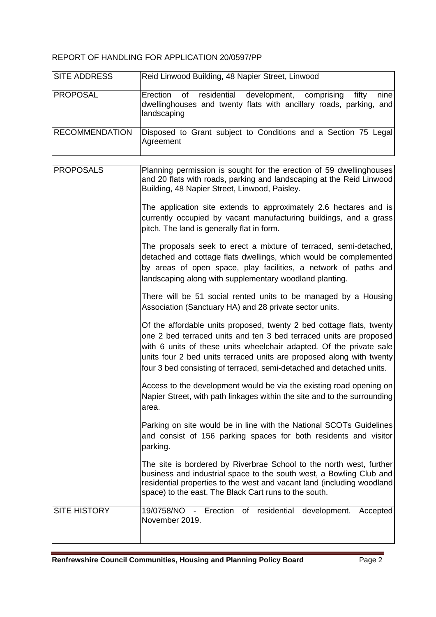## REPORT OF HANDLING FOR APPLICATION 20/0597/PP

| <b>SITE ADDRESS</b>   | Reid Linwood Building, 48 Napier Street, Linwood                                                                                                         |
|-----------------------|----------------------------------------------------------------------------------------------------------------------------------------------------------|
| <b>IPROPOSAL</b>      | development, comprising<br>nine<br>Erection of residential<br>fifty<br>dwellinghouses and twenty flats with ancillary roads, parking, and<br>landscaping |
| <b>RECOMMENDATION</b> | Disposed to Grant subject to Conditions and a Section 75 Legal<br>Agreement                                                                              |
|                       |                                                                                                                                                          |

| <b>PROPOSALS</b>    | Planning permission is sought for the erection of 59 dwellinghouses<br>and 20 flats with roads, parking and landscaping at the Reid Linwood<br>Building, 48 Napier Street, Linwood, Paisley.                                                                                                                                                                      |
|---------------------|-------------------------------------------------------------------------------------------------------------------------------------------------------------------------------------------------------------------------------------------------------------------------------------------------------------------------------------------------------------------|
|                     | The application site extends to approximately 2.6 hectares and is<br>currently occupied by vacant manufacturing buildings, and a grass<br>pitch. The land is generally flat in form.                                                                                                                                                                              |
|                     | The proposals seek to erect a mixture of terraced, semi-detached,<br>detached and cottage flats dwellings, which would be complemented<br>by areas of open space, play facilities, a network of paths and<br>landscaping along with supplementary woodland planting.                                                                                              |
|                     | There will be 51 social rented units to be managed by a Housing<br>Association (Sanctuary HA) and 28 private sector units.                                                                                                                                                                                                                                        |
|                     | Of the affordable units proposed, twenty 2 bed cottage flats, twenty<br>one 2 bed terraced units and ten 3 bed terraced units are proposed<br>with 6 units of these units wheelchair adapted. Of the private sale<br>units four 2 bed units terraced units are proposed along with twenty<br>four 3 bed consisting of terraced, semi-detached and detached units. |
|                     | Access to the development would be via the existing road opening on<br>Napier Street, with path linkages within the site and to the surrounding<br>area.                                                                                                                                                                                                          |
|                     | Parking on site would be in line with the National SCOTs Guidelines<br>and consist of 156 parking spaces for both residents and visitor<br>parking.                                                                                                                                                                                                               |
|                     | The site is bordered by Riverbrae School to the north west, further<br>business and industrial space to the south west, a Bowling Club and<br>residential properties to the west and vacant land (including woodland<br>space) to the east. The Black Cart runs to the south.                                                                                     |
| <b>SITE HISTORY</b> | 19/0758/NO - Erection of residential development.<br>Accepted<br>November 2019.                                                                                                                                                                                                                                                                                   |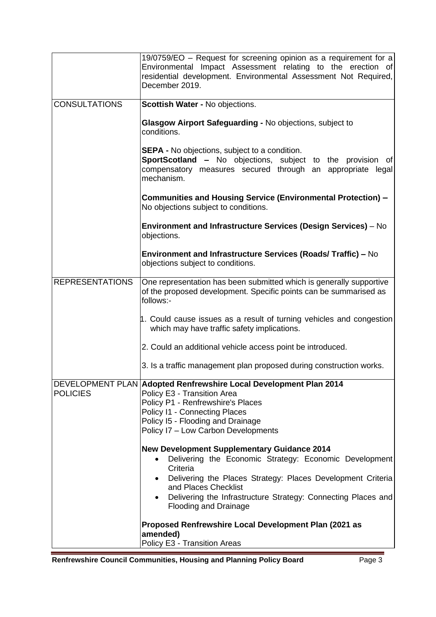| residential development. Environmental Assessment Not Required,<br>December 2019.                                                                                                                     |
|-------------------------------------------------------------------------------------------------------------------------------------------------------------------------------------------------------|
| Scottish Water - No objections.                                                                                                                                                                       |
| Glasgow Airport Safeguarding - No objections, subject to<br>conditions.                                                                                                                               |
| <b>SEPA - No objections, subject to a condition.</b><br><b>SportScotland -</b> No objections, subject to the provision of<br>compensatory measures secured through an appropriate legal<br>mechanism. |
| Communities and Housing Service (Environmental Protection) -<br>No objections subject to conditions.                                                                                                  |
| Environment and Infrastructure Services (Design Services) – No<br>objections.                                                                                                                         |
| Environment and Infrastructure Services (Roads/Traffic) - No<br>objections subject to conditions.                                                                                                     |
| One representation has been submitted which is generally supportive<br>of the proposed development. Specific points can be summarised as<br>follows:-                                                 |
| 1. Could cause issues as a result of turning vehicles and congestion<br>which may have traffic safety implications.                                                                                   |
| 2. Could an additional vehicle access point be introduced.                                                                                                                                            |
| 3. Is a traffic management plan proposed during construction works.                                                                                                                                   |
| DEVELOPMENT PLAN Adopted Renfrewshire Local Development Plan 2014                                                                                                                                     |
| Policy E3 - Transition Area<br>Policy P1 - Renfrewshire's Places                                                                                                                                      |
| Policy I1 - Connecting Places                                                                                                                                                                         |
| Policy I5 - Flooding and Drainage<br>Policy I7 - Low Carbon Developments                                                                                                                              |
| <b>New Development Supplementary Guidance 2014</b>                                                                                                                                                    |
| Delivering the Economic Strategy: Economic Development<br>$\bullet$<br>Criteria                                                                                                                       |
| Delivering the Places Strategy: Places Development Criteria<br>and Places Checklist                                                                                                                   |
| Delivering the Infrastructure Strategy: Connecting Places and<br><b>Flooding and Drainage</b>                                                                                                         |
| Proposed Renfrewshire Local Development Plan (2021 as<br>amended)<br>Policy E3 - Transition Areas                                                                                                     |
|                                                                                                                                                                                                       |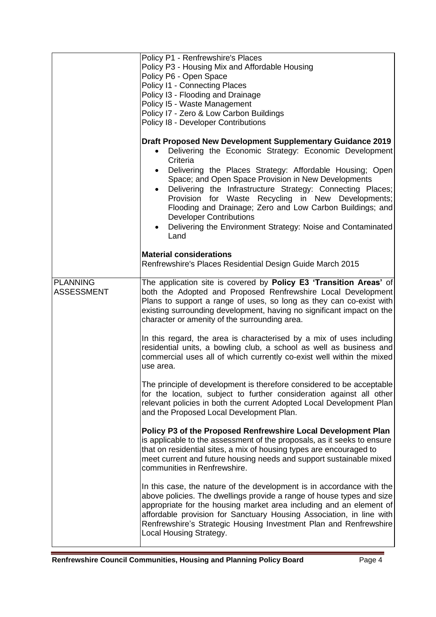|                   | Policy P1 - Renfrewshire's Places<br>Policy P3 - Housing Mix and Affordable Housing<br>Policy P6 - Open Space<br>Policy I1 - Connecting Places<br>Policy I3 - Flooding and Drainage<br>Policy I5 - Waste Management<br>Policy I7 - Zero & Low Carbon Buildings<br>Policy 18 - Developer Contributions<br><b>Draft Proposed New Development Supplementary Guidance 2019</b><br>Delivering the Economic Strategy: Economic Development<br>٠<br>Criteria<br>Delivering the Places Strategy: Affordable Housing; Open<br>Space; and Open Space Provision in New Developments<br>Delivering the Infrastructure Strategy: Connecting Places;<br>Provision for Waste Recycling in New Developments;<br>Flooding and Drainage; Zero and Low Carbon Buildings; and<br><b>Developer Contributions</b><br>Delivering the Environment Strategy: Noise and Contaminated<br>Land<br><b>Material considerations</b><br>Renfrewshire's Places Residential Design Guide March 2015 |
|-------------------|-------------------------------------------------------------------------------------------------------------------------------------------------------------------------------------------------------------------------------------------------------------------------------------------------------------------------------------------------------------------------------------------------------------------------------------------------------------------------------------------------------------------------------------------------------------------------------------------------------------------------------------------------------------------------------------------------------------------------------------------------------------------------------------------------------------------------------------------------------------------------------------------------------------------------------------------------------------------|
| <b>PLANNING</b>   |                                                                                                                                                                                                                                                                                                                                                                                                                                                                                                                                                                                                                                                                                                                                                                                                                                                                                                                                                                   |
| <b>ASSESSMENT</b> | The application site is covered by Policy E3 'Transition Areas' of<br>both the Adopted and Proposed Renfrewshire Local Development<br>Plans to support a range of uses, so long as they can co-exist with<br>existing surrounding development, having no significant impact on the<br>character or amenity of the surrounding area.                                                                                                                                                                                                                                                                                                                                                                                                                                                                                                                                                                                                                               |
|                   | In this regard, the area is characterised by a mix of uses including<br>residential units, a bowling club, a school as well as business and<br>commercial uses all of which currently co-exist well within the mixed<br>use area.                                                                                                                                                                                                                                                                                                                                                                                                                                                                                                                                                                                                                                                                                                                                 |
|                   | The principle of development is therefore considered to be acceptable<br>for the location, subject to further consideration against all other<br>relevant policies in both the current Adopted Local Development Plan<br>and the Proposed Local Development Plan.                                                                                                                                                                                                                                                                                                                                                                                                                                                                                                                                                                                                                                                                                                 |
|                   | Policy P3 of the Proposed Renfrewshire Local Development Plan<br>is applicable to the assessment of the proposals, as it seeks to ensure<br>that on residential sites, a mix of housing types are encouraged to<br>meet current and future housing needs and support sustainable mixed<br>communities in Renfrewshire.                                                                                                                                                                                                                                                                                                                                                                                                                                                                                                                                                                                                                                            |
|                   | In this case, the nature of the development is in accordance with the<br>above policies. The dwellings provide a range of house types and size<br>appropriate for the housing market area including and an element of<br>affordable provision for Sanctuary Housing Association, in line with<br>Renfrewshire's Strategic Housing Investment Plan and Renfrewshire<br>Local Housing Strategy.                                                                                                                                                                                                                                                                                                                                                                                                                                                                                                                                                                     |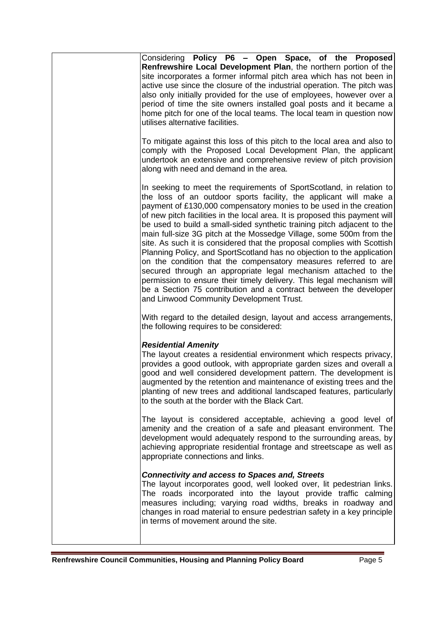| Considering Policy P6 - Open Space, of the Proposed<br>Renfrewshire Local Development Plan, the northern portion of the<br>site incorporates a former informal pitch area which has not been in<br>active use since the closure of the industrial operation. The pitch was<br>also only initially provided for the use of employees, however over a<br>period of time the site owners installed goal posts and it became a<br>home pitch for one of the local teams. The local team in question now<br>utilises alternative facilities.                                                                                                                                                                                                                                                                                                                                                                                              |
|--------------------------------------------------------------------------------------------------------------------------------------------------------------------------------------------------------------------------------------------------------------------------------------------------------------------------------------------------------------------------------------------------------------------------------------------------------------------------------------------------------------------------------------------------------------------------------------------------------------------------------------------------------------------------------------------------------------------------------------------------------------------------------------------------------------------------------------------------------------------------------------------------------------------------------------|
| To mitigate against this loss of this pitch to the local area and also to<br>comply with the Proposed Local Development Plan, the applicant<br>undertook an extensive and comprehensive review of pitch provision<br>along with need and demand in the area.                                                                                                                                                                                                                                                                                                                                                                                                                                                                                                                                                                                                                                                                         |
| In seeking to meet the requirements of SportScotland, in relation to<br>the loss of an outdoor sports facility, the applicant will make a<br>payment of £130,000 compensatory monies to be used in the creation<br>of new pitch facilities in the local area. It is proposed this payment will<br>be used to build a small-sided synthetic training pitch adjacent to the<br>main full-size 3G pitch at the Mossedge Village, some 500m from the<br>site. As such it is considered that the proposal complies with Scottish<br>Planning Policy, and SportScotland has no objection to the application<br>on the condition that the compensatory measures referred to are<br>secured through an appropriate legal mechanism attached to the<br>permission to ensure their timely delivery. This legal mechanism will<br>be a Section 75 contribution and a contract between the developer<br>and Linwood Community Development Trust. |
| With regard to the detailed design, layout and access arrangements,<br>the following requires to be considered:                                                                                                                                                                                                                                                                                                                                                                                                                                                                                                                                                                                                                                                                                                                                                                                                                      |
| <b>Residential Amenity</b><br>The layout creates a residential environment which respects privacy,<br>provides a good outlook, with appropriate garden sizes and overall a<br>good and well considered development pattern. The development is<br>augmented by the retention and maintenance of existing trees and the<br>planting of new trees and additional landscaped features, particularly<br>to the south at the border with the Black Cart.                                                                                                                                                                                                                                                                                                                                                                                                                                                                                  |
| The layout is considered acceptable, achieving a good level of<br>amenity and the creation of a safe and pleasant environment. The<br>development would adequately respond to the surrounding areas, by<br>achieving appropriate residential frontage and streetscape as well as<br>appropriate connections and links.                                                                                                                                                                                                                                                                                                                                                                                                                                                                                                                                                                                                               |
| <b>Connectivity and access to Spaces and, Streets</b><br>The layout incorporates good, well looked over, lit pedestrian links.<br>The roads incorporated into the layout provide traffic calming<br>measures including; varying road widths, breaks in roadway and<br>changes in road material to ensure pedestrian safety in a key principle<br>in terms of movement around the site.                                                                                                                                                                                                                                                                                                                                                                                                                                                                                                                                               |
|                                                                                                                                                                                                                                                                                                                                                                                                                                                                                                                                                                                                                                                                                                                                                                                                                                                                                                                                      |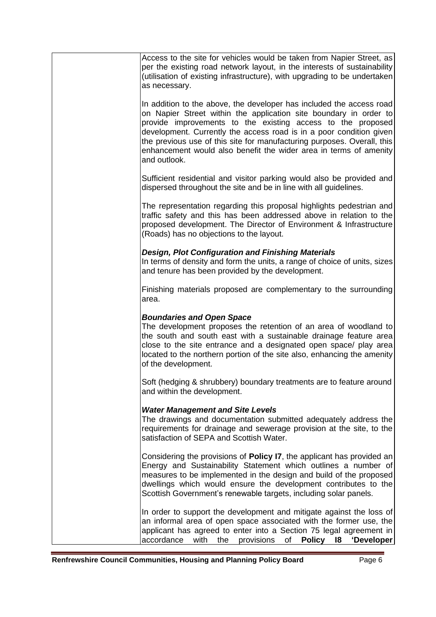| Access to the site for vehicles would be taken from Napier Street, as<br>per the existing road network layout, in the interests of sustainability                                                                                                                                                                                                                                                                                               |  |
|-------------------------------------------------------------------------------------------------------------------------------------------------------------------------------------------------------------------------------------------------------------------------------------------------------------------------------------------------------------------------------------------------------------------------------------------------|--|
| (utilisation of existing infrastructure), with upgrading to be undertaken<br>as necessary.                                                                                                                                                                                                                                                                                                                                                      |  |
| In addition to the above, the developer has included the access road<br>on Napier Street within the application site boundary in order to<br>provide improvements to the existing access to the proposed<br>development. Currently the access road is in a poor condition given<br>the previous use of this site for manufacturing purposes. Overall, this<br>enhancement would also benefit the wider area in terms of amenity<br>and outlook. |  |
| Sufficient residential and visitor parking would also be provided and<br>dispersed throughout the site and be in line with all guidelines.                                                                                                                                                                                                                                                                                                      |  |
| The representation regarding this proposal highlights pedestrian and<br>traffic safety and this has been addressed above in relation to the<br>proposed development. The Director of Environment & Infrastructure<br>(Roads) has no objections to the layout.                                                                                                                                                                                   |  |
| <b>Design, Plot Configuration and Finishing Materials</b><br>In terms of density and form the units, a range of choice of units, sizes<br>and tenure has been provided by the development.                                                                                                                                                                                                                                                      |  |
| Finishing materials proposed are complementary to the surrounding<br>area.                                                                                                                                                                                                                                                                                                                                                                      |  |
| <b>Boundaries and Open Space</b><br>The development proposes the retention of an area of woodland to<br>the south and south east with a sustainable drainage feature area<br>close to the site entrance and a designated open space/ play area<br>located to the northern portion of the site also, enhancing the amenity<br>of the development.                                                                                                |  |
| Soft (hedging & shrubbery) boundary treatments are to feature around<br>and within the development.                                                                                                                                                                                                                                                                                                                                             |  |
| <b>Water Management and Site Levels</b><br>The drawings and documentation submitted adequately address the<br>requirements for drainage and sewerage provision at the site, to the<br>satisfaction of SEPA and Scottish Water.                                                                                                                                                                                                                  |  |
| Considering the provisions of Policy I7, the applicant has provided an<br>Energy and Sustainability Statement which outlines a number of<br>measures to be implemented in the design and build of the proposed<br>dwellings which would ensure the development contributes to the<br>Scottish Government's renewable targets, including solar panels.                                                                                           |  |
| In order to support the development and mitigate against the loss of<br>an informal area of open space associated with the former use, the<br>applicant has agreed to enter into a Section 75 legal agreement in<br>accordance<br>with<br>the<br>provisions<br><b>Policy</b><br>'Developer<br>of<br><b>18</b>                                                                                                                                   |  |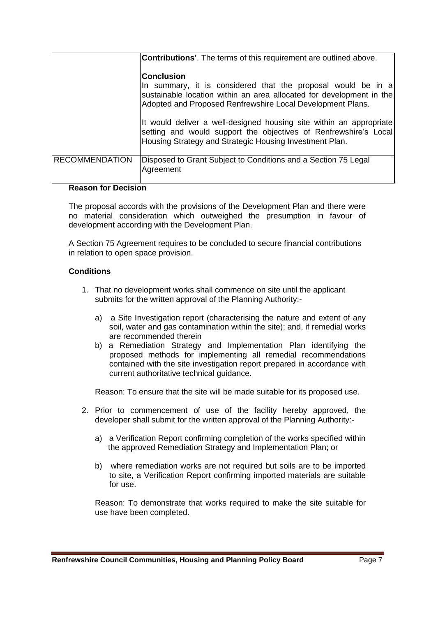|                       | <b>Contributions'.</b> The terms of this requirement are outlined above.                                                                                                                                                |
|-----------------------|-------------------------------------------------------------------------------------------------------------------------------------------------------------------------------------------------------------------------|
|                       | <b>Conclusion</b><br>In summary, it is considered that the proposal would be in a<br>sustainable location within an area allocated for development in the<br>Adopted and Proposed Renfrewshire Local Development Plans. |
|                       | It would deliver a well-designed housing site within an appropriate<br>setting and would support the objectives of Renfrewshire's Local<br>Housing Strategy and Strategic Housing Investment Plan.                      |
| <b>RECOMMENDATION</b> | Disposed to Grant Subject to Conditions and a Section 75 Legal<br>Agreement                                                                                                                                             |

#### **Reason for Decision**

The proposal accords with the provisions of the Development Plan and there were no material consideration which outweighed the presumption in favour of development according with the Development Plan.

A Section 75 Agreement requires to be concluded to secure financial contributions in relation to open space provision.

## **Conditions**

- 1. That no development works shall commence on site until the applicant submits for the written approval of the Planning Authority:
	- a) a Site Investigation report (characterising the nature and extent of any soil, water and gas contamination within the site); and, if remedial works are recommended therein
	- b) a Remediation Strategy and Implementation Plan identifying the proposed methods for implementing all remedial recommendations contained with the site investigation report prepared in accordance with current authoritative technical guidance.

Reason: To ensure that the site will be made suitable for its proposed use.

- 2. Prior to commencement of use of the facility hereby approved, the developer shall submit for the written approval of the Planning Authority:
	- a) a Verification Report confirming completion of the works specified within the approved Remediation Strategy and Implementation Plan; or
	- b) where remediation works are not required but soils are to be imported to site, a Verification Report confirming imported materials are suitable for use.

Reason: To demonstrate that works required to make the site suitable for use have been completed.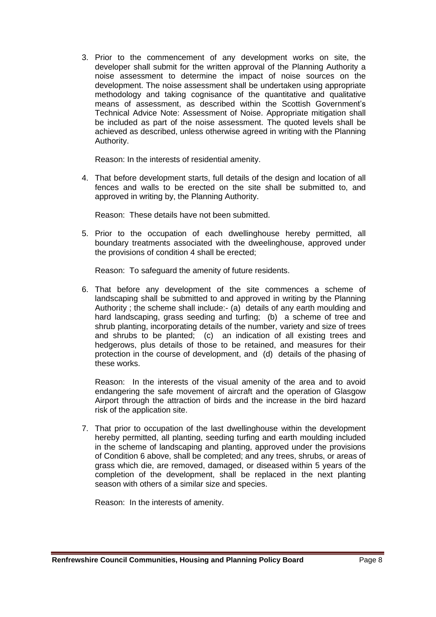3. Prior to the commencement of any development works on site, the developer shall submit for the written approval of the Planning Authority a noise assessment to determine the impact of noise sources on the development. The noise assessment shall be undertaken using appropriate methodology and taking cognisance of the quantitative and qualitative means of assessment, as described within the Scottish Government's Technical Advice Note: Assessment of Noise. Appropriate mitigation shall be included as part of the noise assessment. The quoted levels shall be achieved as described, unless otherwise agreed in writing with the Planning Authority.

Reason: In the interests of residential amenity.

4. That before development starts, full details of the design and location of all fences and walls to be erected on the site shall be submitted to, and approved in writing by, the Planning Authority.

Reason: These details have not been submitted.

5. Prior to the occupation of each dwellinghouse hereby permitted, all boundary treatments associated with the dweelinghouse, approved under the provisions of condition 4 shall be erected;

Reason: To safeguard the amenity of future residents.

6. That before any development of the site commences a scheme of landscaping shall be submitted to and approved in writing by the Planning Authority ; the scheme shall include:- (a) details of any earth moulding and hard landscaping, grass seeding and turfing; (b) a scheme of tree and shrub planting, incorporating details of the number, variety and size of trees and shrubs to be planted; (c) an indication of all existing trees and hedgerows, plus details of those to be retained, and measures for their protection in the course of development, and (d) details of the phasing of these works.

Reason: In the interests of the visual amenity of the area and to avoid endangering the safe movement of aircraft and the operation of Glasgow Airport through the attraction of birds and the increase in the bird hazard risk of the application site.

7. That prior to occupation of the last dwellinghouse within the development hereby permitted, all planting, seeding turfing and earth moulding included in the scheme of landscaping and planting, approved under the provisions of Condition 6 above, shall be completed; and any trees, shrubs, or areas of grass which die, are removed, damaged, or diseased within 5 years of the completion of the development, shall be replaced in the next planting season with others of a similar size and species.

Reason: In the interests of amenity.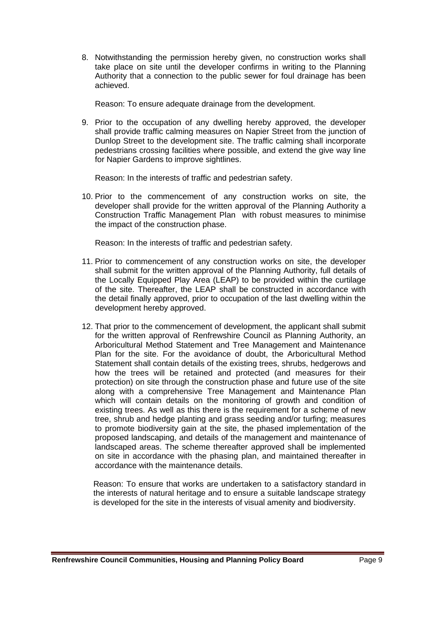8. Notwithstanding the permission hereby given, no construction works shall take place on site until the developer confirms in writing to the Planning Authority that a connection to the public sewer for foul drainage has been achieved.

Reason: To ensure adequate drainage from the development.

9. Prior to the occupation of any dwelling hereby approved, the developer shall provide traffic calming measures on Napier Street from the junction of Dunlop Street to the development site. The traffic calming shall incorporate pedestrians crossing facilities where possible, and extend the give way line for Napier Gardens to improve sightlines.

Reason: In the interests of traffic and pedestrian safety.

10. Prior to the commencement of any construction works on site, the developer shall provide for the written approval of the Planning Authority a Construction Traffic Management Plan with robust measures to minimise the impact of the construction phase.

Reason: In the interests of traffic and pedestrian safety.

- 11. Prior to commencement of any construction works on site, the developer shall submit for the written approval of the Planning Authority, full details of the Locally Equipped Play Area (LEAP) to be provided within the curtilage of the site. Thereafter, the LEAP shall be constructed in accordance with the detail finally approved, prior to occupation of the last dwelling within the development hereby approved.
- 12. That prior to the commencement of development, the applicant shall submit for the written approval of Renfrewshire Council as Planning Authority, an Arboricultural Method Statement and Tree Management and Maintenance Plan for the site. For the avoidance of doubt, the Arboricultural Method Statement shall contain details of the existing trees, shrubs, hedgerows and how the trees will be retained and protected (and measures for their protection) on site through the construction phase and future use of the site along with a comprehensive Tree Management and Maintenance Plan which will contain details on the monitoring of growth and condition of existing trees. As well as this there is the requirement for a scheme of new tree, shrub and hedge planting and grass seeding and/or turfing; measures to promote biodiversity gain at the site, the phased implementation of the proposed landscaping, and details of the management and maintenance of landscaped areas. The scheme thereafter approved shall be implemented on site in accordance with the phasing plan, and maintained thereafter in accordance with the maintenance details.

Reason: To ensure that works are undertaken to a satisfactory standard in the interests of natural heritage and to ensure a suitable landscape strategy is developed for the site in the interests of visual amenity and biodiversity.